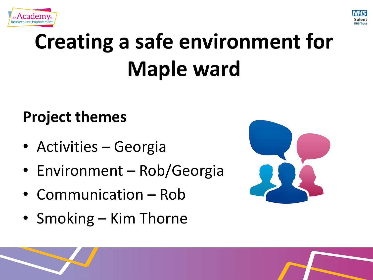



# **Creating a safe environment for Maple ward**

#### **Project themes**

- Activities Georgia
- Environment Rob/Georgia
- Communication Rob
- Smoking Kim Thorne

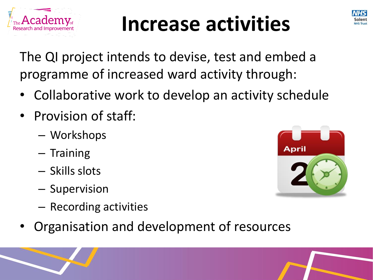

## **Increase activities**

The QI project intends to devise, test and embed a programme of increased ward activity through:

- Collaborative work to develop an activity schedule
- Provision of staff:
	- Workshops
	- Training
	- Skills slots
	- Supervision
	- Recording activities
- Organisation and development of resources





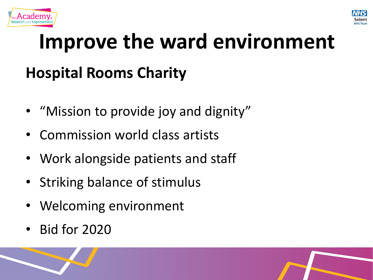



# **Improve the ward environment Hospital Rooms Charity**

- "Mission to provide joy and dignity"
- Commission world class artists
- Work alongside patients and staff
- Striking balance of stimulus
- Welcoming environment
- Bid for 2020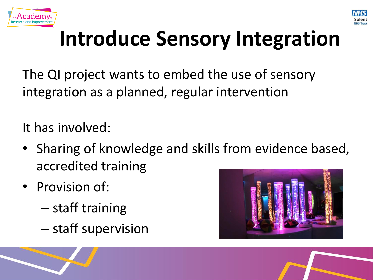



## **Introduce Sensory Integration**

The QI project wants to embed the use of sensory integration as a planned, regular intervention

It has involved:

- Sharing of knowledge and skills from evidence based, accredited training
- Provision of:
	- staff training
	- staff supervision

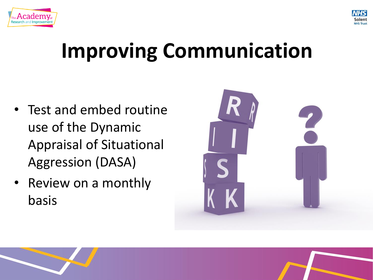



## **Improving Communication**

- Test and embed routine use of the Dynamic Appraisal of Situational Aggression (DASA)
- Review on a monthly basis



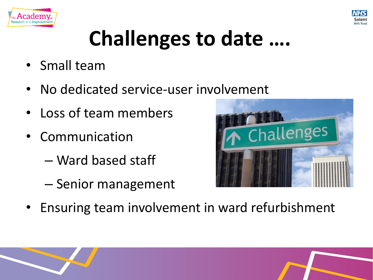



## **Challenges to date ….**

- Small team
- No dedicated service-user involvement
- Loss of team members
- Communication
	- Ward based staff
	- Senior management



• Ensuring team involvement in ward refurbishment



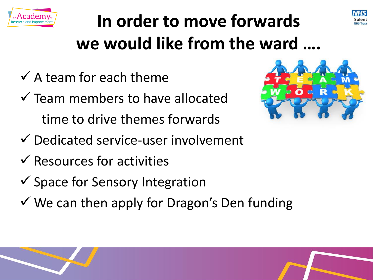

#### **In order to move forwards we would like from the ward ….**

- $\checkmark$  A team for each theme
- $\checkmark$  Team members to have allocated time to drive themes forwards



- ✓ Dedicated service-user involvement
- $\checkmark$  Resources for activities
- $\checkmark$  Space for Sensory Integration
- $\checkmark$  We can then apply for Dragon's Den funding

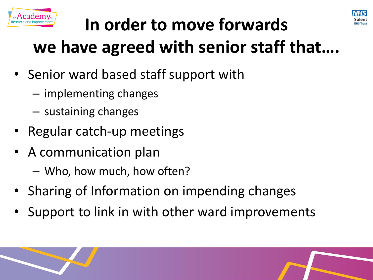



#### **In order to move forwards we have agreed with senior staff that….**

- Senior ward based staff support with
	- implementing changes
	- sustaining changes
- Regular catch-up meetings
- A communication plan
	- Who, how much, how often?
- Sharing of Information on impending changes
- Support to link in with other ward improvements

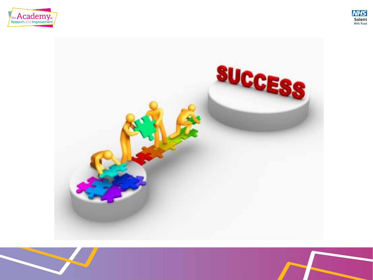